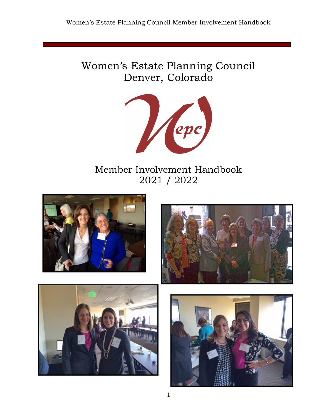# Women's Estate Planning Council Denver, Colorado



# Member Involvement Handbook 2021 / 2022







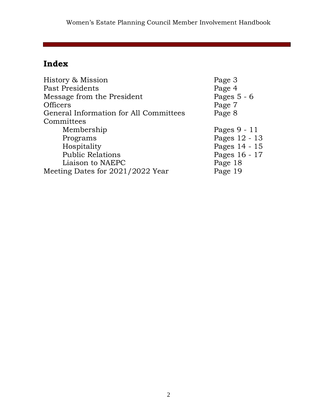# **Index**

| History & Mission                      | Page 3        |
|----------------------------------------|---------------|
| Past Presidents                        | Page 4        |
| Message from the President             | Pages $5 - 6$ |
| <b>Officers</b>                        | Page 7        |
| General Information for All Committees | Page 8        |
| Committees                             |               |
| Membership                             | Pages 9 - 11  |
| Programs                               | Pages 12 - 13 |
| Hospitality                            | Pages 14 - 15 |
| <b>Public Relations</b>                | Pages 16 - 17 |
| Liaison to NAEPC                       | Page 18       |
| Meeting Dates for 2021/2022 Year       | Page 19       |
|                                        |               |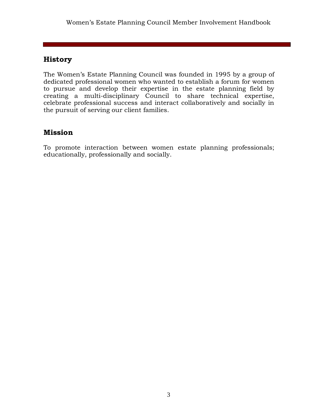# **History**

The Women's Estate Planning Council was founded in 1995 by a group of dedicated professional women who wanted to establish a forum for women to pursue and develop their expertise in the estate planning field by creating a multi-disciplinary Council to share technical expertise, celebrate professional success and interact collaboratively and socially in the pursuit of serving our client families.

# **Mission**

To promote interaction between women estate planning professionals; educationally, professionally and socially.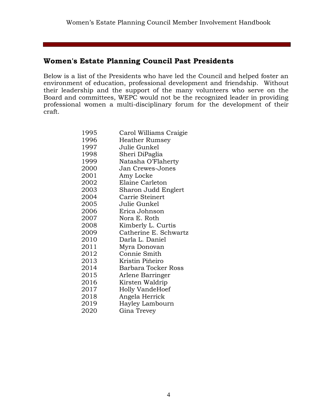# **Women's Estate Planning Council Past Presidents**

Below is a list of the Presidents who have led the Council and helped foster an environment of education, professional development and friendship. Without their leadership and the support of the many volunteers who serve on the Board and committees, WEPC would not be the recognized leader in providing professional women a multi-disciplinary forum for the development of their craft.

| 1995 | Carol Williams Craigie |
|------|------------------------|
| 1996 | Heather Rumsey         |
| 1997 | Julie Gunkel           |
| 1998 | Sheri DiPaglia         |
| 1999 | Natasha O'Flaherty     |
| 2000 | Jan Crewes-Jones       |
| 2001 | Amy Locke              |
| 2002 | Elaine Carleton        |
| 2003 | Sharon Judd Englert    |
| 2004 | Carrie Steinert        |
| 2005 | Julie Gunkel           |
| 2006 | Erica Johnson          |
| 2007 | Nora E. Roth           |
| 2008 | Kimberly L. Curtis     |
| 2009 | Catherine E. Schwartz  |
| 2010 | Darla L. Daniel        |
| 2011 | Myra Donovan           |
| 2012 | Connie Smith           |
| 2013 | Kristin Piñeiro        |
| 2014 | Barbara Tocker Ross    |
| 2015 | Arlene Barringer       |
| 2016 | Kirsten Waldrip        |
| 2017 | Holly VandeHoef        |
| 2018 | Angela Herrick         |
| 2019 | Hayley Lambourn        |
| 2020 | Gina Trevey            |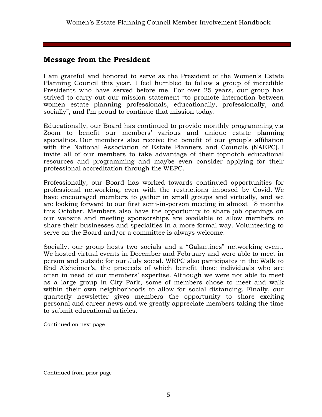# **Message from the President**

I am grateful and honored to serve as the President of the Women's Estate Planning Council this year. I feel humbled to follow a group of incredible Presidents who have served before me. For over 25 years, our group has strived to carry out our mission statement "to promote interaction between women estate planning professionals, educationally, professionally, and socially", and I'm proud to continue that mission today.

Educationally, our Board has continued to provide monthly programming via Zoom to benefit our members' various and unique estate planning specialties. Our members also receive the benefit of our group's affiliation with the National Association of Estate Planners and Councils (NAEPC). I invite all of our members to take advantage of their topnotch educational resources and programming and maybe even consider applying for their professional accreditation through the WEPC.

Professionally, our Board has worked towards continued opportunities for professional networking, even with the restrictions imposed by Covid. We have encouraged members to gather in small groups and virtually, and we are looking forward to our first semi-in-person meeting in almost 18 months this October. Members also have the opportunity to share job openings on our website and meeting sponsorships are available to allow members to share their businesses and specialties in a more formal way. Volunteering to serve on the Board and/or a committee is always welcome.

Socially, our group hosts two socials and a "Galantines" networking event. We hosted virtual events in December and February and were able to meet in person and outside for our July social. WEPC also participates in the Walk to End Alzheimer's, the proceeds of which benefit those individuals who are often in need of our members' expertise. Although we were not able to meet as a large group in City Park, some of members chose to meet and walk within their own neighborhoods to allow for social distancing. Finally, our quarterly newsletter gives members the opportunity to share exciting personal and career news and we greatly appreciate members taking the time to submit educational articles.

Continued on next page

Continued from prior page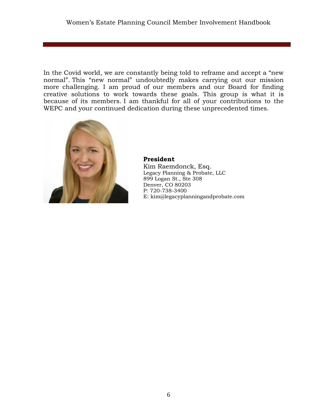In the Covid world, we are constantly being told to reframe and accept a "new normal". This "new normal" undoubtedly makes carrying out our mission more challenging. I am proud of our members and our Board for finding creative solutions to work towards these goals. This group is what it is because of its members. I am thankful for all of your contributions to the WEPC and your continued dedication during these unprecedented times.



**President** Kim Raemdonck, Esq. Legacy Planning & Probate, LLC 899 Logan St., Ste 308 Denver, CO 80203 P: 720-738-3400 E: kim@legacyplanningandprobate.com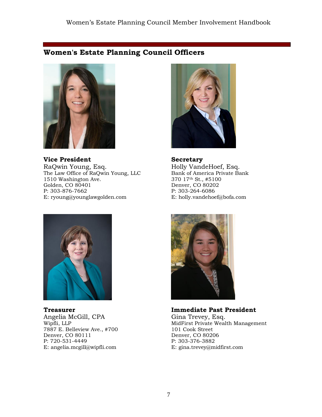# **Women's Estate Planning Council Officers**



**Vice President** RaQwin Young, Esq. The Law Office of RaQwin Young, LLC 1510 Washington Ave. Golden, CO 80401 P: 303-876-7662 E: ryoung@younglawgolden.com



**Secretary** Holly VandeHoef, Esq. Bank of America Private Bank 370 17th St., #5100 Denver, CO 80202 P: 303-264-6086 E: holly.vandehoef@bofa.com



**Treasurer** Angelia McGill, CPA Wipfli, LLP 7887 E. Belleview Ave., #700 Denver, CO 80111 P: 720-531-4449 E: angelia.mcgill@wipfli.com



**Immediate Past President** Gina Trevey, Esq. MidFirst Private Wealth Management 101 Cook Street Denver, CO 80206 P: 303-376-3882 E: gina.trevey@midfirst.com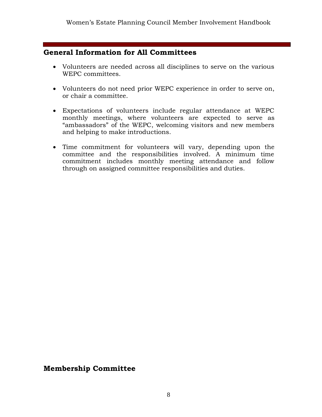# **General Information for All Committees**

- Volunteers are needed across all disciplines to serve on the various WEPC committees.
- Volunteers do not need prior WEPC experience in order to serve on, or chair a committee.
- Expectations of volunteers include regular attendance at WEPC monthly meetings, where volunteers are expected to serve as "ambassadors" of the WEPC, welcoming visitors and new members and helping to make introductions.
- Time commitment for volunteers will vary, depending upon the committee and the responsibilities involved. A minimum time commitment includes monthly meeting attendance and follow through on assigned committee responsibilities and duties.

# **Membership Committee**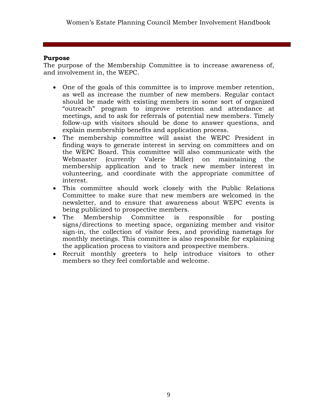## **Purpose**

The purpose of the Membership Committee is to increase awareness of, and involvement in, the WEPC.

- One of the goals of this committee is to improve member retention, as well as increase the number of new members. Regular contact should be made with existing members in some sort of organized "outreach" program to improve retention and attendance at meetings, and to ask for referrals of potential new members. Timely follow-up with visitors should be done to answer questions, and explain membership benefits and application process.
- The membership committee will assist the WEPC President in finding ways to generate interest in serving on committees and on the WEPC Board. This committee will also communicate with the Webmaster (currently Valerie Miller) on maintaining the membership application and to track new member interest in volunteering, and coordinate with the appropriate committee of interest.
- This committee should work closely with the Public Relations Committee to make sure that new members are welcomed in the newsletter, and to ensure that awareness about WEPC events is being publicized to prospective members.
- The Membership Committee is responsible for posting signs/directions to meeting space, organizing member and visitor sign-in, the collection of visitor fees, and providing nametags for monthly meetings. This committee is also responsible for explaining the application process to visitors and prospective members.
- Recruit monthly greeters to help introduce visitors to other members so they feel comfortable and welcome.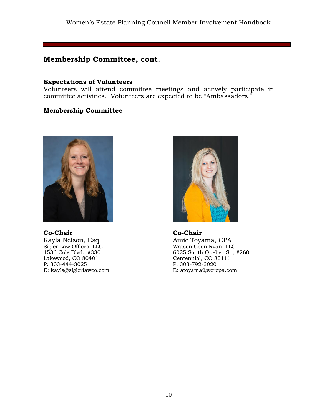### Women's Estate Planning Council Member Involvement Handbook

## **Membership Committee, cont.**

#### **Expectations of Volunteers**

Volunteers will attend committee meetings and actively participate in committee activities. Volunteers are expected to be "Ambassadors."

## **Membership Committee**



**Co-Chair**

Kayla Nelson, Esq. Sigler Law Offices, LLC 1536 Cole Blvd., #330 Lakewood, CO 80401 P: 303-444-3025 E: kayla@siglerlawco.com



**Co-Chair** Amie Toyama, CPA Watson Coon Ryan, LLC 6025 South Quebec St., #260 Centennial, CO 80111 P: 303-792-3020 E: atoyama@wcrcpa.com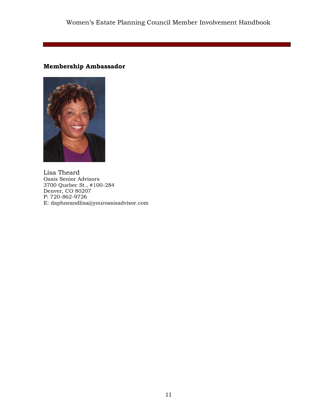## **Membership Ambassador**



Lisa Theard Oasis Senior Advisors 3700 Quebec St., #100-284 Denver, CO 80207 P: 720-862-9726 E: daphneandlisa@youroasisadvisor.com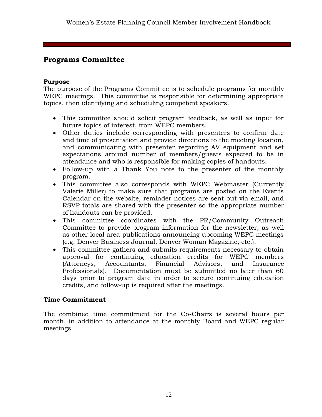# **Programs Committee**

### **Purpose**

The purpose of the Programs Committee is to schedule programs for monthly WEPC meetings. This committee is responsible for determining appropriate topics, then identifying and scheduling competent speakers.

- This committee should solicit program feedback, as well as input for future topics of interest, from WEPC members.
- Other duties include corresponding with presenters to confirm date and time of presentation and provide directions to the meeting location, and communicating with presenter regarding AV equipment and set expectations around number of members/guests expected to be in attendance and who is responsible for making copies of handouts.
- Follow-up with a Thank You note to the presenter of the monthly program.
- This committee also corresponds with WEPC Webmaster (Currently Valerie Miller) to make sure that programs are posted on the Events Calendar on the website, reminder notices are sent out via email, and RSVP totals are shared with the presenter so the appropriate number of handouts can be provided.
- This committee coordinates with the PR/Community Outreach Committee to provide program information for the newsletter, as well as other local area publications announcing upcoming WEPC meetings (e.g. Denver Business Journal, Denver Woman Magazine, etc.).
- This committee gathers and submits requirements necessary to obtain approval for continuing education credits for WEPC members (Attorneys, Accountants, Financial Advisors, and Insurance Professionals). Documentation must be submitted no later than 60 days prior to program date in order to secure continuing education credits, and follow-up is required after the meetings.

## **Time Commitment**

The combined time commitment for the Co-Chairs is several hours per month, in addition to attendance at the monthly Board and WEPC regular meetings.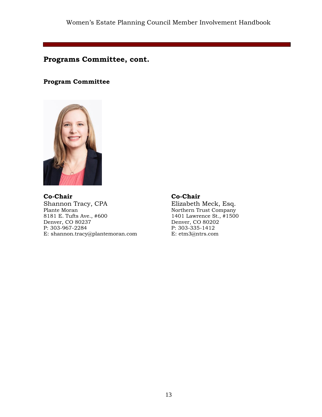## **Programs Committee, cont.**

### **Program Committee**



**Co-Chair** Shannon Tracy, CPA Plante Moran 8181 E. Tufts Ave., #600 Denver, CO 80237 P: 303-967-2284 E: shannon.tracy@plantemoran.com

## **Co-Chair**

Elizabeth Meck, Esq. Northern Trust Company 1401 Lawrence St., #1500 Denver, CO 80202 P: 303-335-1412 E: etm3@ntrs.com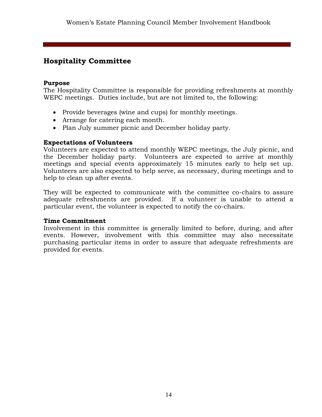# **Hospitality Committee**

### **Purpose**

The Hospitality Committee is responsible for providing refreshments at monthly WEPC meetings. Duties include, but are not limited to, the following:

- Provide beverages (wine and cups) for monthly meetings.
- Arrange for catering each month.
- Plan July summer picnic and December holiday party.

## **Expectations of Volunteers**

Volunteers are expected to attend monthly WEPC meetings, the July picnic, and the December holiday party. Volunteers are expected to arrive at monthly meetings and special events approximately 15 minutes early to help set up. Volunteers are also expected to help serve, as necessary, during meetings and to help to clean up after events.

They will be expected to communicate with the committee co-chairs to assure adequate refreshments are provided. If a volunteer is unable to attend a particular event, the volunteer is expected to notify the co-chairs.

### **Time Commitment**

Involvement in this committee is generally limited to before, during, and after events. However, involvement with this committee may also necessitate purchasing particular items in order to assure that adequate refreshments are provided for events.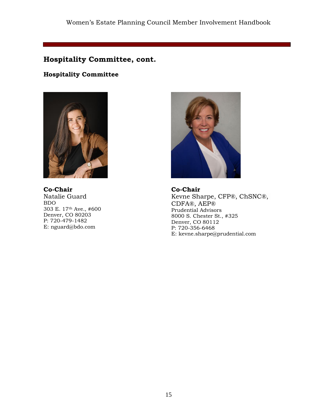# **Hospitality Committee, cont.**

## **Hospitality Committee**



**Co-Chair** Natalie Guard BDO 303 E. 17th Ave., #600 Denver, CO 80203 P: 720-479-1482 E: nguard@bdo.com



**Co-Chair** Kevne Sharpe, CFP®, ChSNC®, CDFA®, AEP® Prudential Advisors 8000 S. Chester St., #325 Denver, CO 80112 P: 720-356-6468 E: kevne.sharpe@prudential.com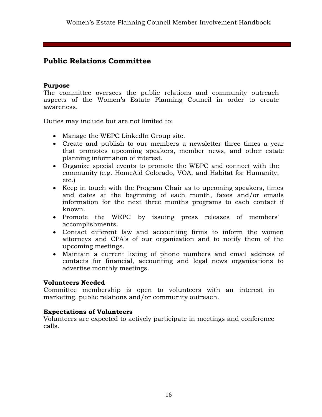# **Public Relations Committee**

## **Purpose**

The committee oversees the public relations and community outreach aspects of the Women's Estate Planning Council in order to create awareness.

Duties may include but are not limited to:

- Manage the WEPC LinkedIn Group site.
- Create and publish to our members a newsletter three times a year that promotes upcoming speakers, member news, and other estate planning information of interest.
- Organize special events to promote the WEPC and connect with the community (e.g. HomeAid Colorado, VOA, and Habitat for Humanity, etc.)
- Keep in touch with the Program Chair as to upcoming speakers, times and dates at the beginning of each month, faxes and/or emails information for the next three months programs to each contact if known.
- Promote the WEPC by issuing press releases of members' accomplishments.
- Contact different law and accounting firms to inform the women attorneys and CPA's of our organization and to notify them of the upcoming meetings.
- Maintain a current listing of phone numbers and email address of contacts for financial, accounting and legal news organizations to advertise monthly meetings.

### **Volunteers Needed**

Committee membership is open to volunteers with an interest in marketing, public relations and/or community outreach.

### **Expectations of Volunteers**

Volunteers are expected to actively participate in meetings and conference calls.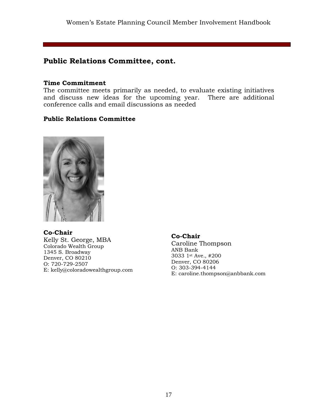# **Public Relations Committee, cont.**

#### **Time Commitment**

The committee meets primarily as needed, to evaluate existing initiatives and discuss new ideas for the upcoming year. There are additional conference calls and email discussions as needed

## **Public Relations Committee**



**Co-Chair** Kelly St. George, MBA Colorado Wealth Group 1345 S. Broadway Denver, CO 80210 O: 720-729-2507 E: kelly@coloradowealthgroup.com

**Co-Chair**

Caroline Thompson ANB Bank 3033 1st Ave., #200 Denver, CO 80206 O: 303-394-4144 E: caroline.thompson@anbbank.com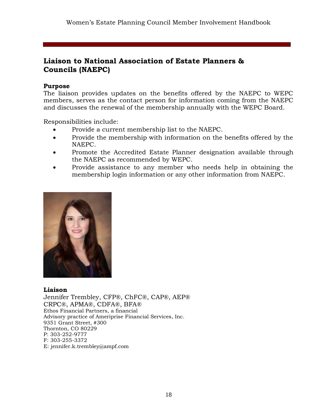# **Liaison to National Association of Estate Planners & Councils (NAEPC)**

## **Purpose**

The liaison provides updates on the benefits offered by the NAEPC to WEPC members, serves as the contact person for information coming from the NAEPC and discusses the renewal of the membership annually with the WEPC Board.

Responsibilities include:

- Provide a current membership list to the NAEPC.
- Provide the membership with information on the benefits offered by the NAEPC.
- Promote the Accredited Estate Planner designation available through the NAEPC as recommended by WEPC.
- Provide assistance to any member who needs help in obtaining the membership login information or any other information from NAEPC.



### **Liaison**

Jennifer Trembley, CFP®, ChFC®, CAP®, AEP® CRPC®, APMA®, CDFA®, BFA® Ethos Financial Partners, a financial Advisory practice of Ameriprise Financial Services, Inc. 9351 Grant Street, #300 Thornton, CO 80229 P: 303-252-9777 F: 303-255-3372 E: jennifer.k.trembley@ampf.com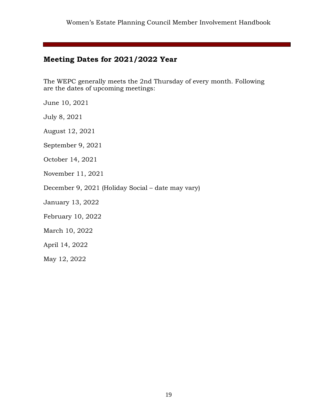# **Meeting Dates for 2021/2022 Year**

The WEPC generally meets the 2nd Thursday of every month. Following are the dates of upcoming meetings:

June 10, 2021

July 8, 2021

August 12, 2021

September 9, 2021

October 14, 2021

November 11, 2021

December 9, 2021 (Holiday Social – date may vary)

January 13, 2022

February 10, 2022

March 10, 2022

April 14, 2022

May 12, 2022